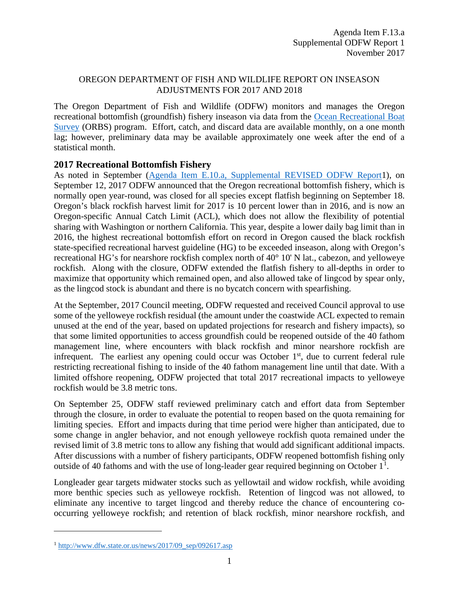## OREGON DEPARTMENT OF FISH AND WILDLIFE REPORT ON INSEASON ADJUSTMENTS FOR 2017 AND 2018

The Oregon Department of Fish and Wildlife (ODFW) monitors and manages the Oregon recreational bottomfish (groundfish) fishery inseason via data from the [Ocean Recreational Boat](http://www.dfw.state.or.us/MRP/salmon/docs/ORBS_Design.pdf)  [Survey](http://www.dfw.state.or.us/MRP/salmon/docs/ORBS_Design.pdf) (ORBS) program. Effort, catch, and discard data are available monthly, on a one month lag; however, preliminary data may be available approximately one week after the end of a statistical month.

## **2017 Recreational Bottomfish Fishery**

As noted in September [\(Agenda Item E.10.a, Supplemental REVISED ODFW Report1](http://www.pcouncil.org/wp-content/uploads/2017/09/E10a_Sup_REVISED_ODFW_Rpt1_SEPT2017BB.pdf)), on September 12, 2017 ODFW announced that the Oregon recreational bottomfish fishery, which is normally open year-round, was closed for all species except flatfish beginning on September 18. Oregon's black rockfish harvest limit for 2017 is 10 percent lower than in 2016, and is now an Oregon-specific Annual Catch Limit (ACL), which does not allow the flexibility of potential sharing with Washington or northern California. This year, despite a lower daily bag limit than in 2016, the highest recreational bottomfish effort on record in Oregon caused the black rockfish state-specified recreational harvest guideline (HG) to be exceeded inseason, along with Oregon's recreational HG's for nearshore rockfish complex north of 40° 10' N lat., cabezon, and yelloweye rockfish. Along with the closure, ODFW extended the flatfish fishery to all-depths in order to maximize that opportunity which remained open, and also allowed take of lingcod by spear only, as the lingcod stock is abundant and there is no bycatch concern with spearfishing.

At the September, 2017 Council meeting, ODFW requested and received Council approval to use some of the yelloweye rockfish residual (the amount under the coastwide ACL expected to remain unused at the end of the year, based on updated projections for research and fishery impacts), so that some limited opportunities to access groundfish could be reopened outside of the 40 fathom management line, where encounters with black rockfish and minor nearshore rockfish are infrequent. The earliest any opening could occur was October  $1<sup>st</sup>$ , due to current federal rule restricting recreational fishing to inside of the 40 fathom management line until that date. With a limited offshore reopening, ODFW projected that total 2017 recreational impacts to yelloweye rockfish would be 3.8 metric tons.

On September 25, ODFW staff reviewed preliminary catch and effort data from September through the closure, in order to evaluate the potential to reopen based on the quota remaining for limiting species. Effort and impacts during that time period were higher than anticipated, due to some change in angler behavior, and not enough yelloweye rockfish quota remained under the revised limit of 3.8 metric tons to allow any fishing that would add significant additional impacts. After discussions with a number of fishery participants, ODFW reopened bottomfish fishing only outside of 40 fathoms and with the use of long-leader gear required beginning on October  $1<sup>1</sup>$  $1<sup>1</sup>$ .

Longleader gear targets midwater stocks such as yellowtail and widow rockfish, while avoiding more benthic species such as yelloweye rockfish. Retention of lingcod was not allowed, to eliminate any incentive to target lingcod and thereby reduce the chance of encountering cooccurring yelloweye rockfish; and retention of black rockfish, minor nearshore rockfish, and

 $\overline{a}$ 

<span id="page-0-0"></span> $1 \text{ http://www.dfw.state. or.us/news/2017/09~sep/092617.asp}$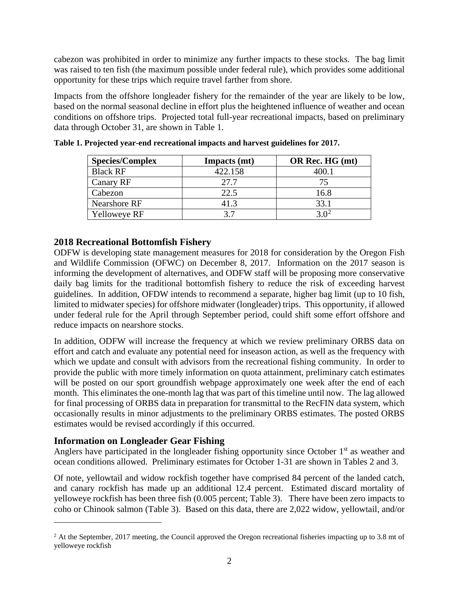cabezon was prohibited in order to minimize any further impacts to these stocks. The bag limit was raised to ten fish (the maximum possible under federal rule), which provides some additional opportunity for these trips which require travel farther from shore.

Impacts from the offshore longleader fishery for the remainder of the year are likely to be low, based on the normal seasonal decline in effort plus the heightened influence of weather and ocean conditions on offshore trips. Projected total full-year recreational impacts, based on preliminary data through October 31, are shown in Table 1.

| <b>Species/Complex</b> | Impacts (mt) | OR Rec. HG (mt) |
|------------------------|--------------|-----------------|
| <b>Black RF</b>        | 422.158      | 40O 1           |
| Canary RF              | 27.7         | 75              |
| Cabezon                | 22.5         | 16.8            |
| Nearshore RF           | 41.3         | 33.1            |
| <b>Yelloweye RF</b>    | 37           |                 |

|  |  |  | Table 1. Projected year-end recreational impacts and harvest guidelines for 2017. |  |
|--|--|--|-----------------------------------------------------------------------------------|--|
|  |  |  |                                                                                   |  |
|  |  |  |                                                                                   |  |

## **2018 Recreational Bottomfish Fishery**

ODFW is developing state management measures for 2018 for consideration by the Oregon Fish and Wildlife Commission (OFWC) on December 8, 2017. Information on the 2017 season is informing the development of alternatives, and ODFW staff will be proposing more conservative daily bag limits for the traditional bottomfish fishery to reduce the risk of exceeding harvest guidelines. In addition, OFDW intends to recommend a separate, higher bag limit (up to 10 fish, limited to midwater species) for offshore midwater (longleader) trips. This opportunity, if allowed under federal rule for the April through September period, could shift some effort offshore and reduce impacts on nearshore stocks.

In addition, ODFW will increase the frequency at which we review preliminary ORBS data on effort and catch and evaluate any potential need for inseason action, as well as the frequency with which we update and consult with advisors from the recreational fishing community. In order to provide the public with more timely information on quota attainment, preliminary catch estimates will be posted on our sport groundfish webpage approximately one week after the end of each month. This eliminates the one-month lag that was part of this timeline until now. The lag allowed for final processing of ORBS data in preparation for transmittal to the RecFIN data system, which occasionally results in minor adjustments to the preliminary ORBS estimates. The posted ORBS estimates would be revised accordingly if this occurred.

## **Information on Longleader Gear Fishing**

 $\overline{a}$ 

Anglers have participated in the longleader fishing opportunity since October 1<sup>st</sup> as weather and ocean conditions allowed. Preliminary estimates for October 1-31 are shown in Tables 2 and 3.

Of note, yellowtail and widow rockfish together have comprised 84 percent of the landed catch, and canary rockfish has made up an additional 12.4 percent. Estimated discard mortality of yelloweye rockfish has been three fish (0.005 percent; [Table 3\)](#page-2-0). There have been zero impacts to coho or Chinook salmon (Table 3). Based on this data, there are 2,022 widow, yellowtail, and/or

<span id="page-1-0"></span> $2$  At the September, 2017 meeting, the Council approved the Oregon recreational fisheries impacting up to 3.8 mt of yelloweye rockfish